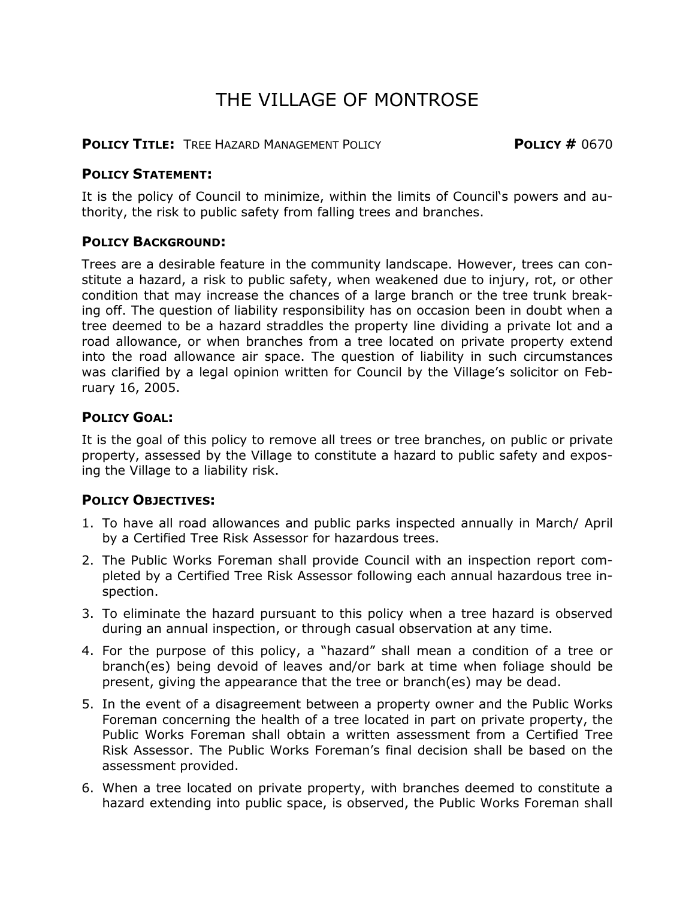# THE VILLAGE OF MONTROSE

### **POLICY TITLE:** TREE HAZARD MANAGEMENT POLICY **POLICY #** 0670

### **POLICY STATEMENT:**

It is the policy of Council to minimize, within the limits of Council's powers and authority, the risk to public safety from falling trees and branches.

### **POLICY BACKGROUND:**

Trees are a desirable feature in the community landscape. However, trees can constitute a hazard, a risk to public safety, when weakened due to injury, rot, or other condition that may increase the chances of a large branch or the tree trunk breaking off. The question of liability responsibility has on occasion been in doubt when a tree deemed to be a hazard straddles the property line dividing a private lot and a road allowance, or when branches from a tree located on private property extend into the road allowance air space. The question of liability in such circumstances was clarified by a legal opinion written for Council by the Village's solicitor on February 16, 2005.

# **POLICY GOAL:**

It is the goal of this policy to remove all trees or tree branches, on public or private property, assessed by the Village to constitute a hazard to public safety and exposing the Village to a liability risk.

# **POLICY OBJECTIVES:**

- 1. To have all road allowances and public parks inspected annually in March/ April by a Certified Tree Risk Assessor for hazardous trees.
- 2. The Public Works Foreman shall provide Council with an inspection report completed by a Certified Tree Risk Assessor following each annual hazardous tree inspection.
- 3. To eliminate the hazard pursuant to this policy when a tree hazard is observed during an annual inspection, or through casual observation at any time.
- 4. For the purpose of this policy, a "hazard" shall mean a condition of a tree or branch(es) being devoid of leaves and/or bark at time when foliage should be present, giving the appearance that the tree or branch(es) may be dead.
- 5. In the event of a disagreement between a property owner and the Public Works Foreman concerning the health of a tree located in part on private property, the Public Works Foreman shall obtain a written assessment from a Certified Tree Risk Assessor. The Public Works Foreman's final decision shall be based on the assessment provided.
- 6. When a tree located on private property, with branches deemed to constitute a hazard extending into public space, is observed, the Public Works Foreman shall